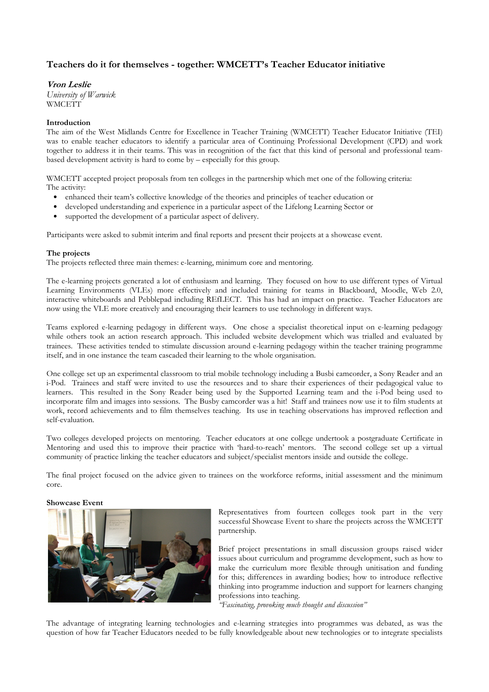## Teachers do it for themselves - together: WMCETT's Teacher Educator initiative

Vron Leslie University of Warwick

**WMCETT** 

## Introduction

The aim of the West Midlands Centre for Excellence in Teacher Training (WMCETT) Teacher Educator Initiative (TEI) was to enable teacher educators to identify a particular area of Continuing Professional Development (CPD) and work together to address it in their teams. This was in recognition of the fact that this kind of personal and professional teambased development activity is hard to come by – especially for this group.

WMCETT accepted project proposals from ten colleges in the partnership which met one of the following criteria: The activity:

- enhanced their team's collective knowledge of the theories and principles of teacher education or
- developed understanding and experience in a particular aspect of the Lifelong Learning Sector or
- supported the development of a particular aspect of delivery.

Participants were asked to submit interim and final reports and present their projects at a showcase event.

## The projects

The projects reflected three main themes: e-learning, minimum core and mentoring.

The e-learning projects generated a lot of enthusiasm and learning. They focused on how to use different types of Virtual Learning Environments (VLEs) more effectively and included training for teams in Blackboard, Moodle, Web 2.0, interactive whiteboards and Pebblepad including REfLECT. This has had an impact on practice. Teacher Educators are now using the VLE more creatively and encouraging their learners to use technology in different ways.

Teams explored e-learning pedagogy in different ways. One chose a specialist theoretical input on e-learning pedagogy while others took an action research approach. This included website development which was trialled and evaluated by trainees. These activities tended to stimulate discussion around e-learning pedagogy within the teacher training programme itself, and in one instance the team cascaded their learning to the whole organisation.

One college set up an experimental classroom to trial mobile technology including a Busbi camcorder, a Sony Reader and an i-Pod. Trainees and staff were invited to use the resources and to share their experiences of their pedagogical value to learners. This resulted in the Sony Reader being used by the Supported Learning team and the i-Pod being used to incorporate film and images into sessions. The Busby camcorder was a hit! Staff and trainees now use it to film students at work, record achievements and to film themselves teaching. Its use in teaching observations has improved reflection and self-evaluation.

Two colleges developed projects on mentoring. Teacher educators at one college undertook a postgraduate Certificate in Mentoring and used this to improve their practice with 'hard-to-reach' mentors. The second college set up a virtual community of practice linking the teacher educators and subject/specialist mentors inside and outside the college.

The final project focused on the advice given to trainees on the workforce reforms, initial assessment and the minimum core.

## Showcase Event



Representatives from fourteen colleges took part in the very successful Showcase Event to share the projects across the WMCETT partnership.

Brief project presentations in small discussion groups raised wider issues about curriculum and programme development, such as how to make the curriculum more flexible through unitisation and funding for this; differences in awarding bodies; how to introduce reflective thinking into programme induction and support for learners changing professions into teaching.

"Fascinating, provoking much thought and discussion"

The advantage of integrating learning technologies and e-learning strategies into programmes was debated, as was the question of how far Teacher Educators needed to be fully knowledgeable about new technologies or to integrate specialists